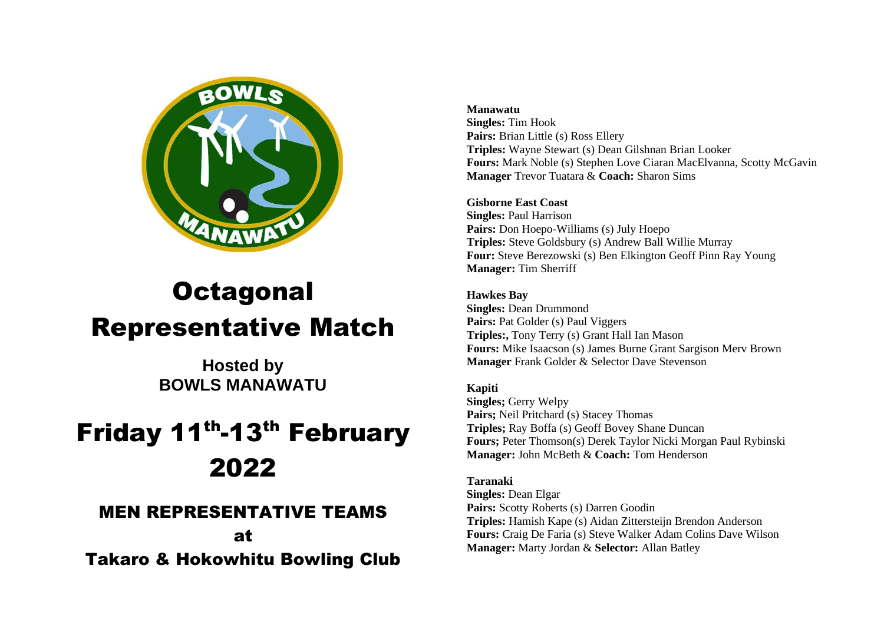

# **Octagonal** Representative Match

**Hosted by BOWLS MANAWATU**

# Friday 11<sup>th</sup>-13<sup>th</sup> February 2022

# MEN REPRESENTATIVE TEAMS

at Takaro & Hokowhitu Bowling Club

#### **Manawatu**

**Singles:** Tim Hook Pairs: Brian Little (s) Ross Ellery **Triples:** Wayne Stewart (s) Dean Gilshnan Brian Looker **Fours:** Mark Noble (s) Stephen Love Ciaran MacElvanna, Scotty McGavin **Manager** Trevor Tuatara & **Coach:** Sharon Sims

# **Gisborne East Coast**

**Singles:** Paul Harrison Pairs: Don Hoepo-Williams (s) July Hoepo **Triples:** Steve Goldsbury (s) Andrew Ball Willie Murray **Four:** Steve Berezowski (s) Ben Elkington Geoff Pinn Ray Young **Manager:** Tim Sherriff

# **Hawkes Bay**

**Singles:** Dean Drummond **Pairs:** Pat Golder (s) Paul Viggers **Triples:,** Tony Terry (s) Grant Hall Ian Mason **Fours:** Mike Isaacson (s) James Burne Grant Sargison Merv Brown **Manager** Frank Golder & Selector Dave Stevenson

## **Kapiti**

**Singles;** Gerry Welpy **Pairs;** Neil Pritchard (s) Stacey Thomas **Triples;** Ray Boffa (s) Geoff Bovey Shane Duncan **Fours;** Peter Thomson(s) Derek Taylor Nicki Morgan Paul Rybinski **Manager:** John McBeth & **Coach:** Tom Henderson

## **Taranaki**

**Singles:** Dean Elgar Pairs: Scotty Roberts (s) Darren Goodin **Triples:** Hamish Kape (s) Aidan Zittersteijn Brendon Anderson **Fours:** Craig De Faria (s) Steve Walker Adam Colins Dave Wilson **Manager:** Marty Jordan & **Selector:** Allan Batley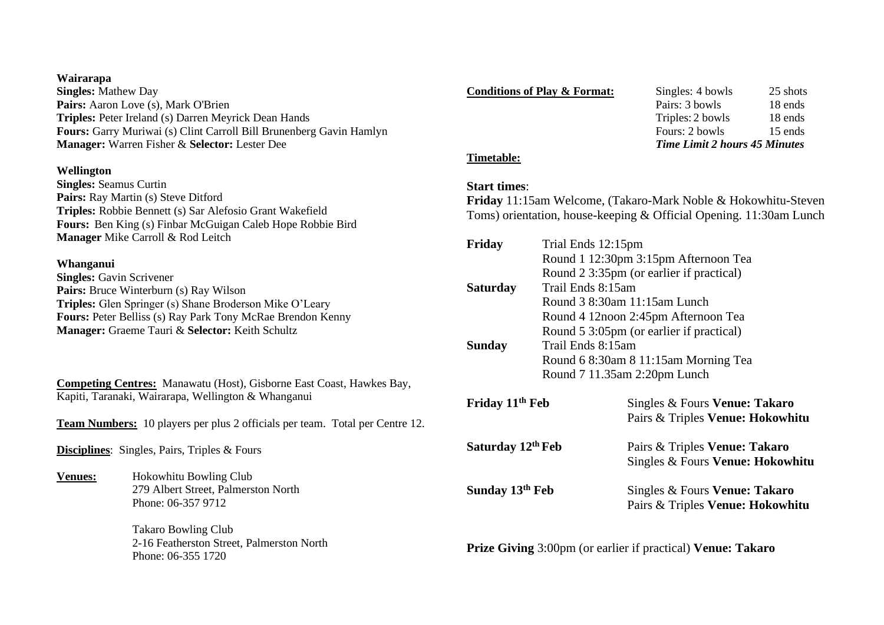#### **Wairarapa**

**Singles:** Mathew Day Pairs: Aaron Love (s), Mark O'Brien **Triples:** Peter Ireland (s) Darren Meyrick Dean Hands **Fours:** Garry Muriwai (s) Clint Carroll Bill Brunenberg Gavin Hamlyn **Manager:** Warren Fisher & **Selector:** Lester Dee

#### **Wellington**

**Singles:** Seamus Curtin **Pairs:** Ray Martin (s) Steve Ditford **Triples:** Robbie Bennett (s) Sar Alefosio Grant Wakefield **Fours:** Ben King (s) Finbar McGuigan Caleb Hope Robbie Bird **Manager** Mike Carroll & Rod Leitch

#### **Whanganui**

**Singles:** Gavin Scrivener **Pairs:** Bruce Winterburn (s) Ray Wilson **Triples:** Glen Springer (s) Shane Broderson Mike O'Leary **Fours:** Peter Belliss (s) Ray Park Tony McRae Brendon Kenny **Manager:** Graeme Tauri & **Selector:** Keith Schultz

**Competing Centres:** Manawatu (Host), Gisborne East Coast, Hawkes Bay, Kapiti, Taranaki, Wairarapa, Wellington & Whanganui

**Team Numbers:** 10 players per plus 2 officials per team. Total per Centre 12.

**Disciplines**: Singles, Pairs, Triples & Fours

**Venues:** Hokowhitu Bowling Club 279 Albert Street, Palmerston North Phone: 06-357 9712

> Takaro Bowling Club 2-16 Featherston Street, Palmerston North Phone: 06-355 1720

| <b>Conditions of Play &amp; Format:</b> | Singles: 4 bowls                     | 25 shots |  |
|-----------------------------------------|--------------------------------------|----------|--|
|                                         | Pairs: 3 bowls                       | 18 ends  |  |
|                                         | Triples: 2 bowls                     | 18 ends  |  |
|                                         | Fours: 2 bowls                       | 15 ends  |  |
|                                         | <b>Time Limit 2 hours 45 Minutes</b> |          |  |
| Timetable:                              |                                      |          |  |

#### **Start times**:

**Friday** 11:15am Welcome, (Takaro-Mark Noble & Hokowhitu-Steven Toms) orientation, house-keeping & Official Opening. 11:30am Lunch

| Friday                        | Trial Ends 12:15pm                       |                                          |  |
|-------------------------------|------------------------------------------|------------------------------------------|--|
|                               | Round 1 12:30pm 3:15pm Afternoon Tea     |                                          |  |
|                               |                                          | Round 2 3:35pm (or earlier if practical) |  |
| <b>Saturday</b>               | Trail Ends 8:15am                        |                                          |  |
|                               | Round $38:30$ am $11:15$ am Lunch        |                                          |  |
|                               | Round 4 12 noon 2:45pm Afternoon Tea     |                                          |  |
|                               | Round 5 3:05pm (or earlier if practical) |                                          |  |
| Sunday                        | Trail Ends 8:15am                        |                                          |  |
|                               |                                          | Round 6 8:30am 8 11:15am Morning Tea     |  |
|                               |                                          | Round 7 11.35am 2:20pm Lunch             |  |
|                               |                                          |                                          |  |
| Friday 11 <sup>th</sup> Feb   |                                          | Singles & Fours Venue: Takaro            |  |
|                               |                                          | Pairs & Triples Venue: Hokowhitu         |  |
|                               |                                          |                                          |  |
| Saturday 12 <sup>th</sup> Feb |                                          | Pairs & Triples Venue: Takaro            |  |
|                               |                                          | Singles & Fours Venue: Hokowhitu         |  |
| Sunday 13th Feb               |                                          |                                          |  |
|                               |                                          | Singles & Fours Venue: Takaro            |  |
|                               |                                          | Pairs & Triples Venue: Hokowhitu         |  |
|                               |                                          |                                          |  |

**Prize Giving** 3:00pm (or earlier if practical) **Venue: Takaro**